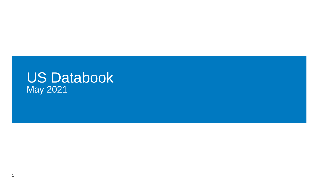## US Databook May 2021

1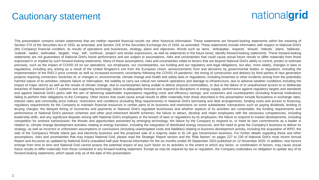## Cautionary statement

## nationalgrid

This presentation contains certain statements that are neither reported financial results nor other historical information. These statements are forward-looking statements within the meaning of Section 27A of the Securities Act of 1933, as amended, and Section 21E of the Securities Exchange Act of 1934, as amended. These statements include information with respect to National Grid's (the Company) financial condition, its results of operations and businesses, strategy, plans and objectives. Words such as 'aims', 'anticipates', 'expects', 'should', 'intends', 'plans', 'believes', 'outlook', 'seeks', 'estimates', 'targets', 'may', 'will', 'continue', 'project' and similar expressions, as well as statements in the future tense, identify forward-looking statements. These forward-looking statements are not guarantees of National Grid's future performance and are subject to assumptions, risks and uncertainties that could cause actual future results to differ materially from those expressed in or implied by such forward-looking statements. Many of these assumptions, risks and uncertainties relate to factors that are beyond National Grid's ability to control, predict or estimate precisely, such as the impact of COVID-19 on our operations, our employees, our counterparties, our funding and our regulatory and legal obligations, but also, more widely, changes in laws or regulations, including any arising as a result of the United Kingdom's exit from the European Union, announcements from and decisions by governmental bodies or regulators, including the implementation of the RIIO-2 price controls as well as increased economic uncertainty following the COVID-19 pandemic; the timing of construction and delivery by third parties of new generation projects requiring connection; breaches of, or changes in, environmental, climate change and health and safety laws or regulations, including breaches or other incidents arising from the potentially harmful nature of its activities; network failure or interruption, the inability to carry out critical non network operations and damage to infrastructure, due to adverse weather conditions including the impact of major storms as well as the results of climate change, due to counterparties being unable to deliver physical commodities, or due to the failure of or unauthorised access to or deliberate breaches of National Grid's IT systems and supporting technology; failure to adequately forecast and respond to disruptions in energy supply; performance against regulatory targets and standards and against National Grid's peers with the aim of delivering stakeholder expectations regarding costs and efficiency savings; and customers and counterparties (including financial institutions) failing to perform their obligations to the Company. Other factors that could cause actual results to differ materially from those described in this presentation include fluctuations in exchange rates, interest rates and commodity price indices; restrictions and conditions (including filing requirements) in National Grid's borrowing and debt arrangements, funding costs and access to financing; regulatory requirements for the Company to maintain financial resources in certain parts of its business and restrictions on some subsidiaries' transactions such as paying dividends, lending or levying charges; the delayed timing of recoveries and payments in National Grid's regulated businesses and whether aspects of its activities are contestable; the funding requirements and performance of National Grid's pension schemes and other post-retirement benefit schemes; the failure to attract, develop and retain employees with the necessary competencies, including leadership skills, and any significant disputes arising with National Grid's employees or the breach of laws or regulations by its employees; the failure to respond to market developments, including competition for onshore transmission; the threats and opportunities presented by emerging technology; the failure by the Company to respond to, or meet its own commitments as a leader in relation to, climate change development activities relating to energy transition, including the integration of distributed energy resources; and the need to grow the Company's business to deliver its strategy, as well as incorrect or unforeseen assumptions or conclusions (including unanticipated costs and liabilities) relating to business development activity, including the acquisition of WPD, the sale of the Company's Rhode Island gas and electricity business and the proposed sale of a majority stake in its UK gas transmission business. For further details regarding these and other assumptions, risks and uncertainties that may impact National Grid, please read the Strategic Report section and the 'Risk factors' on pages 227 to 230 of National Grid's most recent Annual Report and Accounts as updated by National Grid's unaudited half-year financial information for the six months ended 30 September 2020 published on 12 November 2020. In addition, new factors emerge from time to time and National Grid cannot assess the potential impact of any such factor on its activities or the extent to which any factor, or combination of factors, may cause actual future results to differ materially from those contained in any forward-looking statement. Except as may be required by law or regulation, the Company undertakes no obligation to update any of its forward-looking statements, which speak only as of the date of this presentation.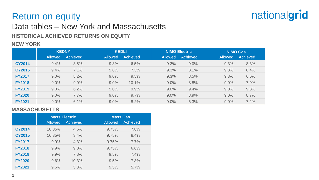

## Return on equity

### Data tables – New York and Massachusetts

**HISTORICAL ACHIEVED RETURNS ON EQUITY**

### **NEW YORK**

|               | <b>KEDNY</b>   |          | <b>KEDLI</b>   |          |                | <b>NIMO Electric</b> | <b>NIMO Gas</b> |          |  |
|---------------|----------------|----------|----------------|----------|----------------|----------------------|-----------------|----------|--|
|               | <b>Allowed</b> | Achieved | <b>Allowed</b> | Achieved | <b>Allowed</b> | Achieved             | <b>Allowed</b>  | Achieved |  |
| <b>CY2014</b> | 9.4%           | 8.5%     | 9.8%           | 6.5%     | 9.3%           | 9.0%                 | 9.3%            | 8.3%     |  |
| <b>CY2015</b> | 9.4%           | 7.1%     | 9.8%           | 7.3%     | 9.3%           | 8.1%                 | 9.3%            | 8.4%     |  |
| <b>FY2017</b> | 9.0%           | 8.2%     | 9.0%           | 9.5%     | 9.3%           | 8.5%                 | 9.3%            | 6.6%     |  |
| <b>FY2018</b> | 9.0%           | 9.0%     | 9.0%           | 10.1%    | 9.0%           | 8.8%                 | 9.0%            | 7.9%     |  |
| <b>FY2019</b> | 9.0%           | 6.2%     | 9.0%           | 9.9%     | 9.0%           | 9.4%                 | 9.0%            | 9.8%     |  |
| <b>FY2020</b> | 9.0%           | 7.7%     | 9.0%           | 9.7%     | 9.0%           | 8.9%                 | 9.0%            | 8.7%     |  |
| <b>FY2021</b> | 9.0%           | 6.1%     | 9.0%           | 8.2%     | 9.0%           | 6.3%                 | 9.0%            | 7.2%     |  |

#### **MASSACHUSETTS**

|               | <b>Allowed</b> | <b>Mass Electric</b><br>Achieved | <b>Mass Gas</b><br>Achieved<br><b>Allowed</b> |      |  |  |  |
|---------------|----------------|----------------------------------|-----------------------------------------------|------|--|--|--|
| <b>CY2014</b> | 10.35%         | 4.6%                             | 9.75%                                         | 7.8% |  |  |  |
| <b>CY2015</b> | 10.35%         | 3.4%                             | 9.75%                                         | 8.4% |  |  |  |
| <b>FY2017</b> | 9.9%           | 4.3%                             | 9.75%                                         | 7.7% |  |  |  |
| <b>FY2018</b> | 9.9%           | 9.0%                             | 9.75%                                         | 6.6% |  |  |  |
| <b>FY2019</b> | 9.9%           | 7.8%                             | 9.5%                                          | 7.4% |  |  |  |
| <b>FY2020</b> | 9.6%           | 10.3%                            | 9.5%                                          | 7.8% |  |  |  |
| <b>FY2021</b> | 9.6%           | 5.3%                             | 9.5%                                          | 5.7% |  |  |  |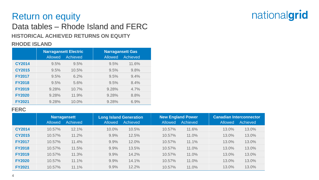## Return on equity

## Data tables – Rhode Island and FERC

**HISTORICAL ACHIEVED RETURNS ON EQUITY**

### **RHODE ISLAND**

|               | <b>Allowed</b> | <b>Narragansett Electric</b><br>Achieved | <b>Narragansett Gas</b><br><b>Allowed</b><br>Achieved |       |  |  |  |
|---------------|----------------|------------------------------------------|-------------------------------------------------------|-------|--|--|--|
| <b>CY2014</b> | 9.5%           | 9.5%                                     | 9.5%                                                  | 11.6% |  |  |  |
| <b>CY2015</b> | 9.5%           | 10.5%                                    | 9.5%                                                  | 9.8%  |  |  |  |
| <b>FY2017</b> | 9.5%           | 6.2%                                     | 9.5%                                                  | 9.4%  |  |  |  |
| <b>FY2018</b> | 9.5%           | 5.6%                                     | 9.5%                                                  | 8.4%  |  |  |  |
| <b>FY2019</b> | 9.28%          | 10.7%                                    | 9.28%                                                 | 4.7%  |  |  |  |
| <b>FY2020</b> | 9.28%          | 11.9%                                    | 9.28%                                                 | 8.8%  |  |  |  |
| <b>FY2021</b> | 9.28%          | 10.0%                                    | 9.28%                                                 | 6.9%  |  |  |  |

#### **FERC**

|               | <b>Narragansett</b><br>Achieved<br><b>Allowed</b> |       | <b>Allowed</b> | <b>Long Island Generation</b><br>Achieved | <b>Allowed</b> | <b>New England Power</b><br><b>Achieved</b> | <b>Canadian Interconnector</b><br><b>Achieved</b><br><b>Allowed</b> |       |  |
|---------------|---------------------------------------------------|-------|----------------|-------------------------------------------|----------------|---------------------------------------------|---------------------------------------------------------------------|-------|--|
| <b>CY2014</b> | 10.57%                                            | 12.1% | 10.0%          | 10.5%                                     | 10.57%         | 11.6%                                       | 13.0%                                                               | 13.0% |  |
| <b>CY2015</b> | 10.57%                                            | 11.2% | 9.9%           | 12.5%                                     | 10.57%         | 11.0%                                       | 13.0%                                                               | 13.0% |  |
| <b>FY2017</b> | 10.57%                                            | 11.4% | 9.9%           | 12.0%                                     | 10.57%         | 11.1%                                       | 13.0%                                                               | 13.0% |  |
| <b>FY2018</b> | 10.57%                                            | 11.5% | 9.9%           | 13.5%                                     | 10.57%         | 11.0%                                       | 13.0%                                                               | 13.0% |  |
| <b>FY2019</b> | 10.57%                                            | 11.3% | 9.9%           | 14.2%                                     | 10.57%         | 11.0%                                       | 13.0%                                                               | 13.0% |  |
| <b>FY2020</b> | 10.57%                                            | 11.1% | 9.9%           | 14.1%                                     | 10.57%         | 11.0%                                       | 13.0%                                                               | 13.0% |  |
| <b>FY2021</b> | 10.57%                                            | 11.1% | 9.9%           | 12.2%                                     | 10.57%         | 11.0%                                       | 13.0%                                                               | 13.0% |  |

# nationalgrid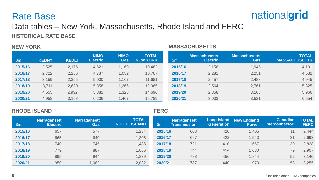### Rate Base



### Data tables – New York, Massachusetts, Rhode Island and FERC **HISTORICAL RATE BASE**

#### **NEW YORK**

#### **MASSACHUSETTS**

| $\mathsf{Sm}$ | <b>KEDNY</b> | <b>KEDLI</b> | <b>NIMO</b><br><b>Electric</b> | <b>NIMO</b><br><b>Gas</b> | <b>TOTAL</b><br><b>NEW YORK</b> | $\mathsf{Sm}$ | <b>Massachusetts</b><br><b>Electric</b> | <b>Massachusetts</b><br>Gas | <b>TOTAL</b><br><b>MASSACHUSETTS</b> |
|---------------|--------------|--------------|--------------------------------|---------------------------|---------------------------------|---------------|-----------------------------------------|-----------------------------|--------------------------------------|
| 2015/16       | 2,525        | 2,176        | 4,621                          | 1,160                     | 10,482                          | 2015/16       | 2,156                                   | 1,945                       | 4,101                                |
| 2016/17       | 2,722        | 2,256        | 4,737                          | 1,052                     | 10,767                          | 2016/17       | 2,281                                   | 2,251                       | 4,532                                |
| 2017/18       | 3,159        | 2,355        | 5,000                          | 1,167                     | 11,681                          | 2017/18       | 2,457                                   | 2,488                       | 4,945                                |
| 2018/19       | 3,711        | 2,630        | 5,358                          | 1,266                     | 12,965                          | 2018/19       | 2,564                                   | 2,761                       | 5,325                                |
| 2019/20       | 4,555        | 2,932        | 5,881                          | 1,328                     | 14,696                          | 2019/20       | 2,858                                   | 3,108                       | 5,966                                |
| 2020/21       | 4,958        | 3,158        | 6,206                          | 1,467                     | 15,789                          | 2020/21       | 3,033                                   | 3,521                       | 6,554                                |

#### **RHODE ISLAND**

#### **FERC**

| ∖\$m    | <b>Narragansett</b><br><b>Electric</b> | <b>Narragansett</b><br><b>Gas</b> | <b>TOTAL</b><br><b>RHODE ISLAND</b> | $\mathsf{Sm}$ | Narragansett<br>Transmission | <b>Long Island</b><br><b>Generation</b> | New England<br><b>Power</b> | <b>Canadian</b><br>Interconnector | <b>TOTAL</b><br><b>FERC</b> |
|---------|----------------------------------------|-----------------------------------|-------------------------------------|---------------|------------------------------|-----------------------------------------|-----------------------------|-----------------------------------|-----------------------------|
| 2015/16 | 657                                    | 577                               | 1,234                               | 2015/16       | 608                          | 420                                     | 1,405                       | 11                                | 2,444                       |
| 2016/17 | 665                                    | 640                               | 1,305                               | 2016/17       | 697                          | 422                                     | 1,543                       | 31                                | 2,693                       |
| 2017/18 | 740                                    | 745                               | 1,485                               | 2017/18       | 721                          | 410                                     | 1,667                       | 30                                | 2,828                       |
| 2018/19 | 779                                    | 887                               | 1,666                               | 2018/19       | 744                          | 454                                     | 1,630                       | 79                                | 2,907                       |
| 2019/20 | 895                                    | 944                               | 1,839                               | 2019/20       | 788                          | 456                                     | 1,844                       | 52                                | 3,140                       |
| 2020/21 | 950                                    | ,082                              | 2,032                               | 2020/21       | 787                          | 440                                     | 1,970                       | 58                                | 3,255                       |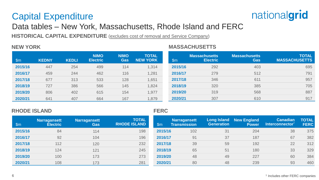## Capital Expenditure

## nationalgrid

### Data tables – New York, Massachusetts, Rhode Island and FERC

**HISTORICAL CAPITAL EXPENDITURE** (excludes cost of removal and Service Company)

#### **NEW YORK MASSACHUSETTS**

| $\mathsf{Sm}$ | <b>KEDNY</b> | <b>KEDLI</b> | <b>NIMO</b><br><b>Electric</b> | <b>NIMO</b><br><b>Gas</b> | <b>TOTAL</b><br><b>NEW YORK</b> | $\mathsf{Sm}$ | <b>Massachusetts</b><br><b>Electric</b> | <b>Massachusetts</b><br>Gas | <b>TOTAL</b><br><b>MASSACHUSETTS</b> |
|---------------|--------------|--------------|--------------------------------|---------------------------|---------------------------------|---------------|-----------------------------------------|-----------------------------|--------------------------------------|
| 2015/16       | 447          | 254          | 499                            | 114                       | 1,314                           | 2015/16       | 292                                     | 403                         | 695                                  |
| 2016/17       | 459          | 244          | 462                            | 116                       | 1,281                           | 2016/17       | 279                                     | 512                         | 791                                  |
| 2017/18       | 677          | 313          | 533                            | 128                       | 1,651                           | 2017/18       | 346                                     | 611                         | 957                                  |
| 2018/19       | 727          | 386          | 566                            | 145                       | 1,824                           | 2018/19       | 320                                     | 385                         | 705                                  |
| 2019/20       | 806          | 402          | 615                            | 154                       | 1,977                           | 2019/20       | 319                                     | 568                         | 887                                  |
| 2020/21       | 641          | 407          | 664                            | 167                       | 1,879                           | 2020/21       | 307                                     | 610                         | 917                                  |

#### **RHODE ISLAND FERC**

| \$m     | Narragansett<br><b>Electric</b> | Narragansett<br>Gas | <b>TOTAL</b><br><b>RHODE ISLAND</b> | $\mathsf{Sm}$ | Narragansett<br><b>Transmission</b> | <b>Long Island</b><br><b>Generation</b> | <b>New England</b><br><b>Power</b> | <b>Canadian</b><br>Interconnector <sup>®</sup> | <b>TOTAL</b><br><b>FERC</b> |
|---------|---------------------------------|---------------------|-------------------------------------|---------------|-------------------------------------|-----------------------------------------|------------------------------------|------------------------------------------------|-----------------------------|
| 2015/16 | 84                              | 114                 | 198                                 | 2015/16       | 102                                 | 31                                      | 204                                | 38                                             | 375                         |
| 2016/17 | 92                              | 104                 | 196                                 | 2016/17       | 91                                  | 37                                      | 187                                | 67                                             | 382                         |
| 2017/18 | 112                             | 120                 | 232                                 | 2017/18       | 39                                  | 59                                      | 192                                | 22                                             | 312                         |
| 2018/19 | 124                             | 121                 | 245                                 | 2018/19       | 65                                  | 51                                      | 180                                | 33                                             | 329                         |
| 2019/20 | 100                             | 173                 | 273                                 | 2019/20       | 48                                  | 49                                      | 227                                | 60                                             | 384                         |
| 2020/21 | 108                             | 173                 | 281                                 | 2020/21       | 80                                  | 48                                      | 239                                | 93                                             | 460                         |